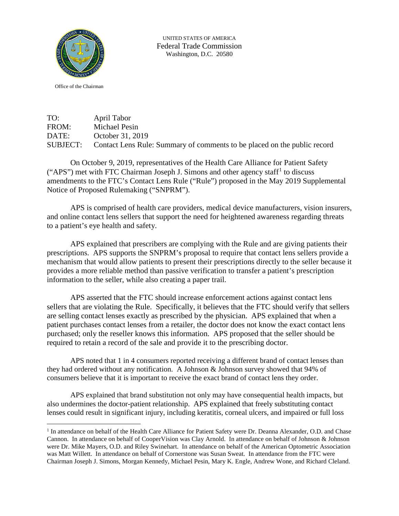

UNITED STATES OF AMERICA Federal Trade Commission Washington, D.C. 20580

Office of the Chairman

TO: April Tabor<br>FROM: Michael Pesi Michael Pesin DATE: October 31, 2019 SUBJECT: Contact Lens Rule: Summary of comments to be placed on the public record

On October 9, 2019, representatives of the Health Care Alliance for Patient Safety ("APS") met with FTC Chairman Joseph J. Simons and other agency staff<sup>[1](#page-0-0)</sup> to discuss amendments to the FTC's Contact Lens Rule ("Rule") proposed in the May 2019 Supplemental Notice of Proposed Rulemaking ("SNPRM").

APS is comprised of health care providers, medical device manufacturers, vision insurers, and online contact lens sellers that support the need for heightened awareness regarding threats to a patient's eye health and safety.

APS explained that prescribers are complying with the Rule and are giving patients their prescriptions. APS supports the SNPRM's proposal to require that contact lens sellers provide a mechanism that would allow patients to present their prescriptions directly to the seller because it provides a more reliable method than passive verification to transfer a patient's prescription information to the seller, while also creating a paper trail.

APS asserted that the FTC should increase enforcement actions against contact lens sellers that are violating the Rule. Specifically, it believes that the FTC should verify that sellers are selling contact lenses exactly as prescribed by the physician. APS explained that when a patient purchases contact lenses from a retailer, the doctor does not know the exact contact lens purchased; only the reseller knows this information. APS proposed that the seller should be required to retain a record of the sale and provide it to the prescribing doctor.

APS noted that 1 in 4 consumers reported receiving a different brand of contact lenses than they had ordered without any notification. A Johnson & Johnson survey showed that 94% of consumers believe that it is important to receive the exact brand of contact lens they order.

APS explained that brand substitution not only may have consequential health impacts, but also undermines the doctor-patient relationship. APS explained that freely substituting contact lenses could result in significant injury, including keratitis, corneal ulcers, and impaired or full loss

<span id="page-0-0"></span><sup>&</sup>lt;sup>1</sup> In attendance on behalf of the Health Care Alliance for Patient Safety were Dr. Deanna Alexander, O.D. and Chase Cannon. In attendance on behalf of CooperVision was Clay Arnold. In attendance on behalf of Johnson & Johnson were Dr. Mike Mayers, O.D. and Riley Swinehart. In attendance on behalf of the American Optometric Association was Matt Willett. In attendance on behalf of Cornerstone was Susan Sweat. In attendance from the FTC were Chairman Joseph J. Simons, Morgan Kennedy, Michael Pesin, Mary K. Engle, Andrew Wone, and Richard Cleland.